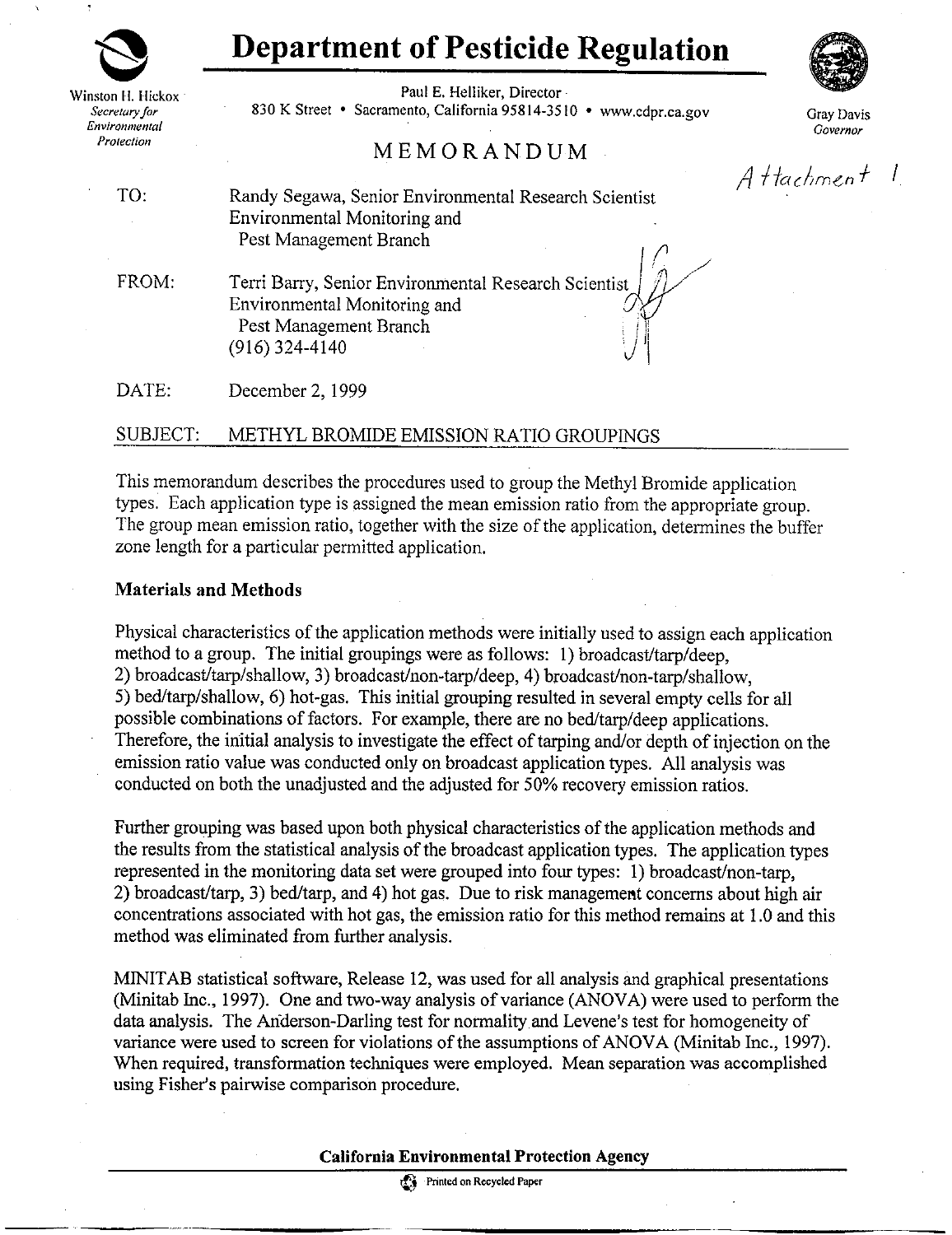# **Department of Pesticide Regulation**

Winston fl. Hickox *Secretary for Environmental Protection* 

Paul E. Helliker, Director 830 **K** Street • Sacramento, California 95814-3510 • www.cdpr.ca.gov

## **MEMORANDUM**

*¥Ill* 

Gray Davis *Governor* 

Attachment 1

TO: Randy Segawa, Senior Environmental Research Scientist Environmental Monitoring and Pest Management Branch /

FROM: Terri Barry, Senior Environmental Research Scientist Environmental Monitoring and Pest Management Branch (916) 324-4140

DATE: December 2, 1999

### SUBJECT: METHYL BROMIDE EMISSION RATIO GROUPINGS

This memorandum describes the procedures used to group the Methyl Bromide application types. Each application type is assigned the mean emission ratio from the appropriate group. The group mean emission ratio, together with the size of the application, determines the buffer zone length for a particular permitted application.

#### **Materials and Methods**

Physical characteristics of the application methods were initially used to assign each application method to a group. The initial groupings were as follows: I) broadcast/tarp/deep, 2) broadcast/tarp/shallow, 3) broadcast/non-tarp/deep, 4) broadcast/non-tarp/shallow, 5) bed/tarp/shallow, 6) hot-gas. This initial grouping resulted in several empty cells for all possible combinations of factors. For example, there are no bed/tarp/deep applications. Therefore, the initial analysis to investigate the effect of tarping and/or depth of injection on the emission ratio value was conducted only on broadcast application types. All analysis was conducted on both the unadjusted and the adjusted for 50% recovery emission ratios.

Further grouping was based upon both physical characteristics of the application methods and the results from the statistical analysis of the broadcast application types. The application types represented in the monitoring data set were grouped into four types: I) broadcast/non-tarp, 2) broadcast/tarp, 3) bed/tarp, and 4) hot gas. Due to risk managemeat concerns about high air concentrations associated with hot gas, the emission ratio for this method remains at 1.0 and this method was eliminated from further analysis.

MINIT AB statistical software, Release 12, was used for all analysis and graphical presentations (Minitab Inc., 1997). One and two-way analysis of variance (ANOVA) were used to perform the data analysis. The Anderson-Darling test for normality and Levene's test for homogeneity of variance were used to screen for violations of the assumptions of ANOVA (Minitab Inc., 1997). When required, transformation techniques were employed. Mean separation was accomplished using Fisher's pairwise comparison procedure.

#### **California Environmental Protection Agency**

Printed on Recycled Paper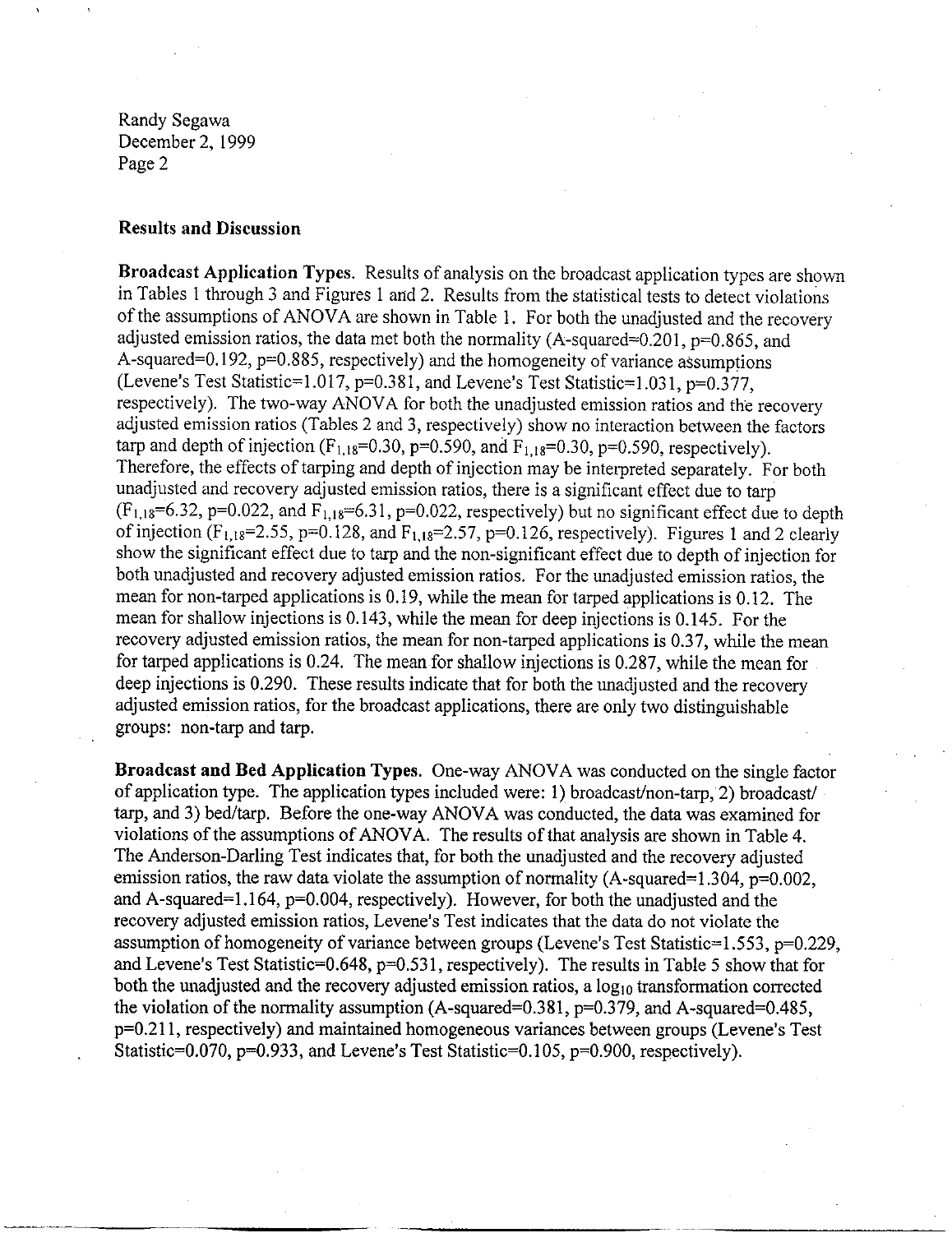#### **Results and Discussion**

**Broadcast Application Types.** Results of analysis on the broadcast application types are shown in Tables I through 3 and Figures I and 2. Results from the statistical tests to detect violations of the assumptions of ANOVA are shown in Table 1. For both the unadjusted and the recovery adjusted emission ratios, the data met both the normality (A-squared=0.201,  $p=0.865$ , and A-squared=0.192,  $p=0.885$ , respectively) and the homogeneity of variance assumptions (Levene's Test Statistic=l.017, p=0.381, and Levene's Test Statistic=l.031, p=0.377, respectively). The two-way ANOVA for both the unadjusted emission ratios and the recovery adjusted emission ratios (Tables 2 and 3, respectively) show no interaction between the factors tarp and depth of injection ( $F_{1,18}=0.30$ , p=0.590, and  $F_{1,18}=0.30$ , p=0.590, respectively). Therefore, the effects of tarping and depth of injection may be interpreted separately. For both unadjusted and recovery adjusted emission ratios, there is a significant effect due to tarp  $(F_{1,18}=6.32, p=0.022,$  and  $F_{1,18}=6.31, p=0.022,$  respectively) but no significant effect due to depth of injection (F<sub>1,18</sub>=2.55, p=0.128, and F<sub>1,18</sub>=2.57, p=0.126, respectively). Figures 1 and 2 clearly show the significant effect due to tarp and the non-significant effect due to depth of injection for both unadjusted and recovery adjusted emission ratios. For the unadjusted emission ratios, the mean for non-tarped applications is 0.19, while the mean for tarped applications is 0.12. The mean for shallow injections is 0.143, while the mean for deep injections is 0.145. For the recovery adjusted emission ratios, the mean for non-tarped applications is 0.37, while the mean for tarped applications is 0.24. The mean for shallow injections is 0.287, while the mean for deep injections is 0.290. These results indicate that for both the unadjusted and the recovery adjusted emission ratios, for the broadcast applications, there are only two distinguishable groups: non-tarp and tarp.

**Broadcast and Bed Application Types.** One-way ANOVA was conducted on the single factor of application type. The application types included were: I) broadcast/non-tarp, 2) broadcast/ tarp, and 3) bed/tarp. Before the one-way ANOVA was conducted, the data was examined for violations of the assumptions of ANOVA. The results of that analysis are shown in Table 4. The Anderson-Darling Test indicates that, for both the unadjusted and the recovery adjusted emission ratios, the raw data violate the assumption of normality (A-squared=1.304,  $p=0.002$ , and A-squared=1.164, p=0.004, respectively). However, for both the unadjusted and the recovery adjusted emission ratios, Levene's Test indicates that the data do not violate the assumption of homogeneity of variance between groups (Levene's Test Statistic=l.553, p=0.229, and Levene's Test Statistic=0.648, p=0.531, respectively). The results in Table 5 show that for both the unadjusted and the recovery adjusted emission ratios, a  $log_{10}$  transformation corrected the violation of the normality assumption  $(A$ -squared=0.381,  $p=0.379$ , and  $A$ -squared=0.485, p=0.211, respectively) and maintained homogeneous variances between groups (Levene's Test Statistic=0.070,  $p=0.933$ , and Levene's Test Statistic=0.105,  $p=0.900$ , respectively).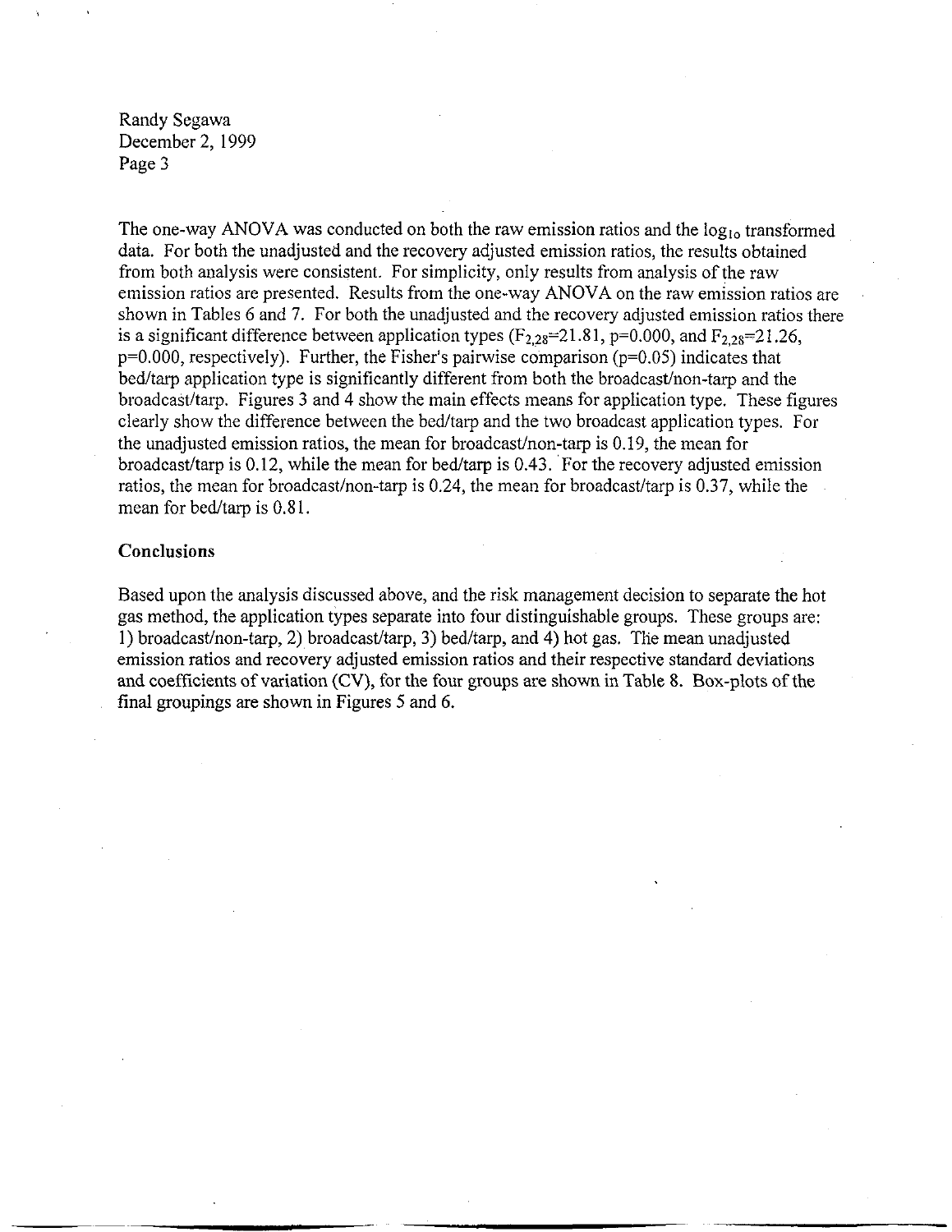The one-way ANOVA was conducted on both the raw emission ratios and the  $log_{10}$  transformed data. For both the unadjusted and the recovery adjusted emission ratios, the results obtained from both analysis were consistent. For simplicity, only results from analysis of the raw emission ratios are presented. Results from the one-way ANOVA on the raw emission ratios are shown in Tables 6 and 7. For both the unadjusted and the recovery adjusted emission ratios there is a significant difference between application types  $(F_{2,28}=21.81, p=0.000,$  and  $F_{2,28}=21.26,$ p=0.000, respectively). Further, the Fisher's pairwise comparison (p=0.05) indicates that bed/tarp application type is significantly different from both the broadcast/non-tarp and the broadcast/tarp. Figures 3 and 4 show the main effects means for application type. These figures clearly show the difference between the bed/tarp and the two broadcast application types. For the unadjusted emission ratios, the mean for broadcast/non-tarp is 0.19, the mean for broadcast/tarp is  $0.12$ , while the mean for bed/tarp is  $0.43$ . For the recovery adjusted emission ratios, the mean for broadcast/non-tarp is 0.24, the mean for broadcast/tarp is 0.37, while the mean for bed/tarp is 0.81.

#### **Conclusions**

Based upon the analysis discussed above, and the risk management decision to separate the hot gas method, the application types separate into four distinguishable groups. These groups are: I) broadcast/non-tarp, 2) broadcast/tarp, 3) bed/tarp, and 4) hot gas. The mean unadjusted emission ratios and recovery adjusted emission ratios and their respective standard deviations and coefficients of variation (CV), for the four groups are shown in Table 8. Box-plots of the final groupings are shown in Figures 5 and 6.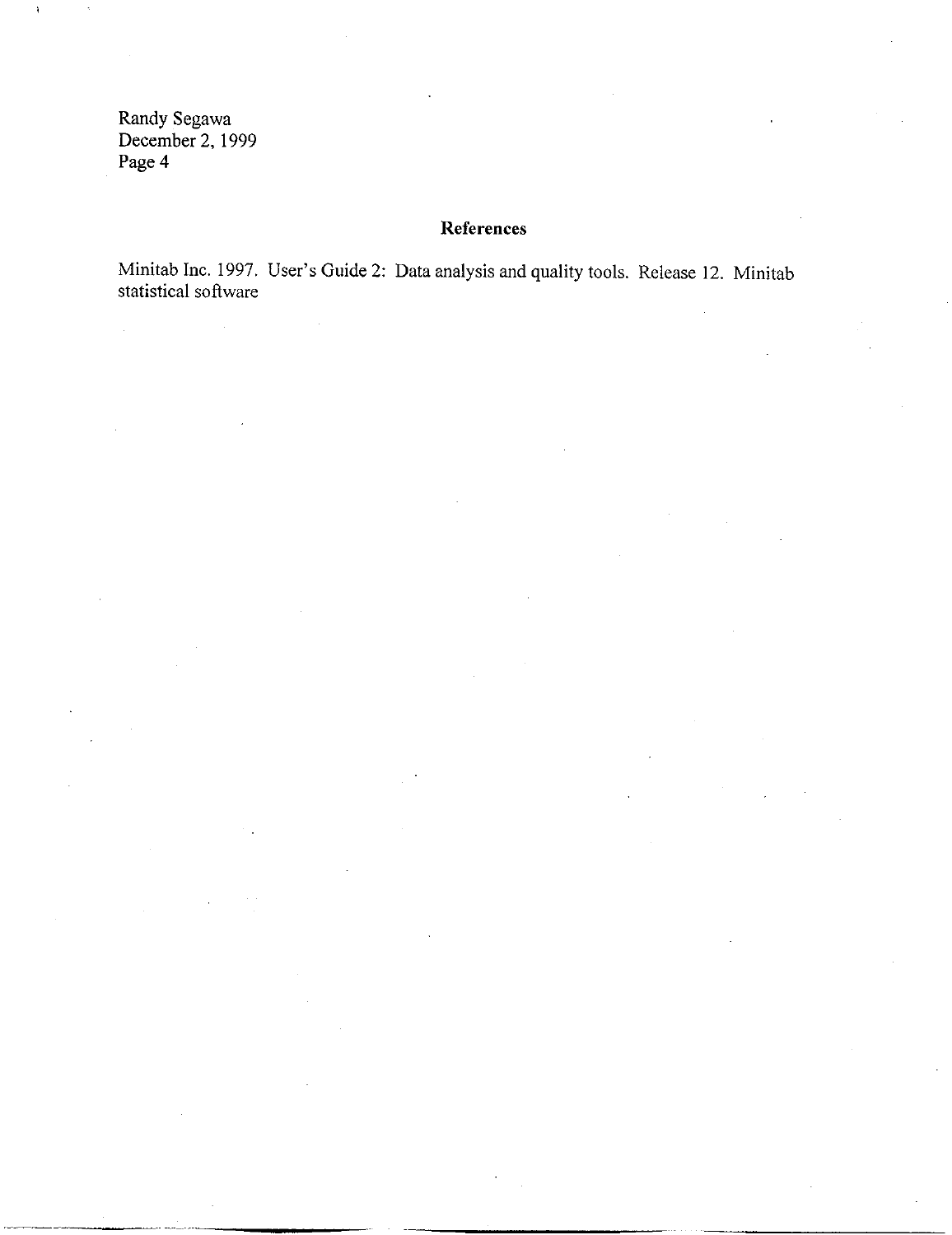$\hat{\mathcal{A}}$ 

## **References**

Minitab Inc. 1997. User's Guide 2: Data analysis and quality tools. Release 12. Minitab statistical software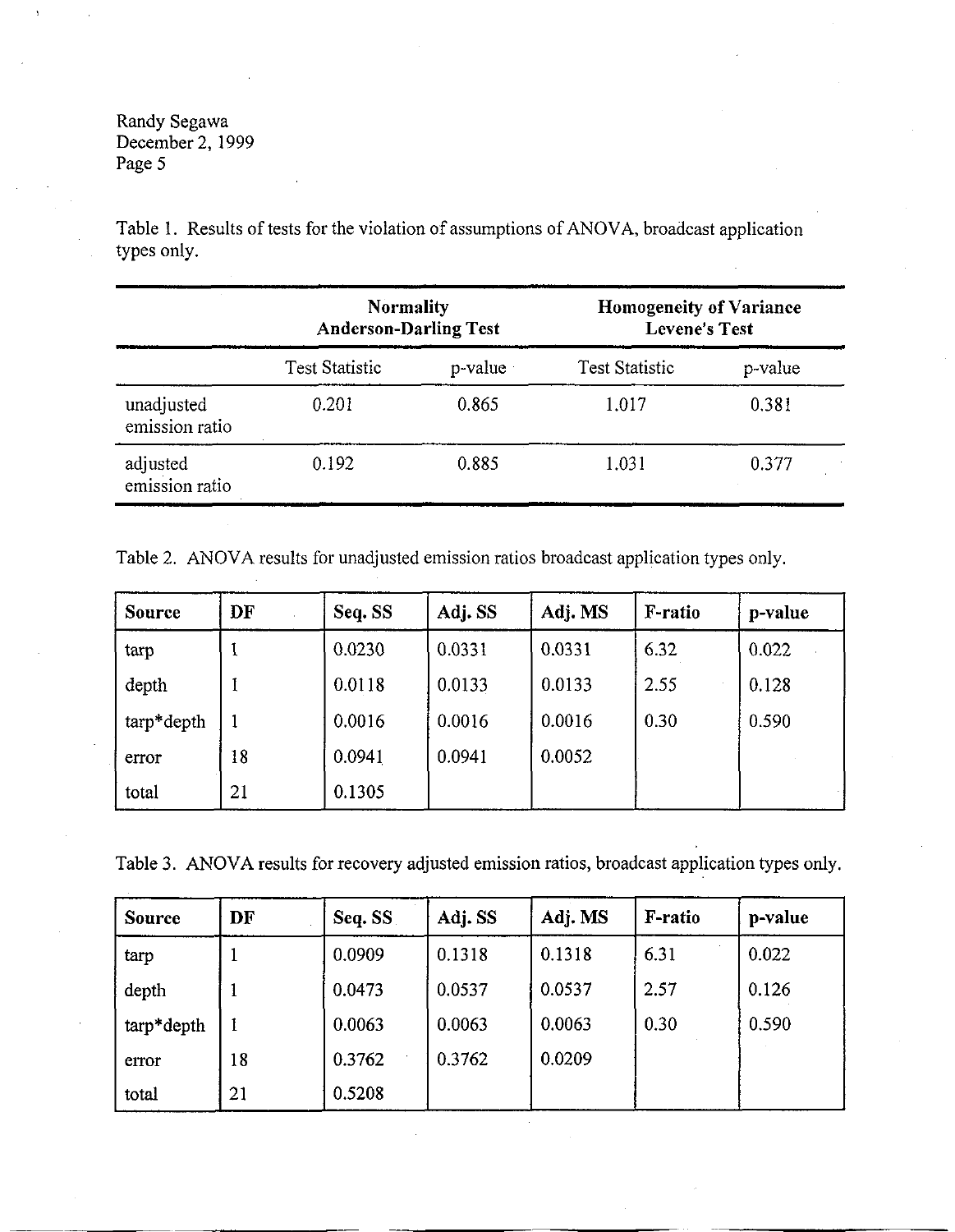Table 1. Results of tests for the violation of assumptions of ANOVA, broadcast application types only.

|                              | <b>Normality</b><br><b>Anderson-Darling Test</b> |         | <b>Homogeneity of Variance</b><br><b>Levene's Test</b> |         |  |
|------------------------------|--------------------------------------------------|---------|--------------------------------------------------------|---------|--|
|                              | <b>Test Statistic</b>                            | p-value | <b>Test Statistic</b>                                  | p-value |  |
| unadjusted<br>emission ratio | 0.201                                            | 0.865   | 1.017                                                  | 0.381   |  |
| adjusted<br>emission ratio   | 0.192                                            | 0.885   | 1.031                                                  | 0.377   |  |

Table 2. ANOVA results for unadjusted emission ratios broadcast application types only.

| <b>Source</b> | DF | Seq. SS | Adj. SS | Adj. MS | F-ratio | p-value |
|---------------|----|---------|---------|---------|---------|---------|
| tarp          |    | 0.0230  | 0.0331  | 0.0331  | 6.32    | 0.022   |
| depth         |    | 0.0118  | 0.0133  | 0.0133  | 2.55    | 0.128   |
| tarp*depth    |    | 0.0016  | 0.0016  | 0.0016  | 0.30    | 0.590   |
| error         | 18 | 0.0941  | 0.0941  | 0.0052  |         |         |
| total         | 21 | 0.1305  |         |         |         |         |

Table 3. ANOVA results for recovery adjusted emission ratios, broadcast application types only.

| <b>Source</b> | DF | Seq. SS | Adj. SS | Adj. MS | F-ratio | p-value |
|---------------|----|---------|---------|---------|---------|---------|
| tarp          |    | 0.0909  | 0.1318  | 0.1318  | 6.31    | 0.022   |
| depth         |    | 0.0473  | 0.0537  | 0.0537  | 2.57    | 0.126   |
| tarp*depth    | I  | 0.0063  | 0.0063  | 0.0063  | 0.30    | 0.590   |
| error         | 18 | 0.3762  | 0.3762  | 0.0209  |         |         |
| total         | 21 | 0.5208  |         |         |         |         |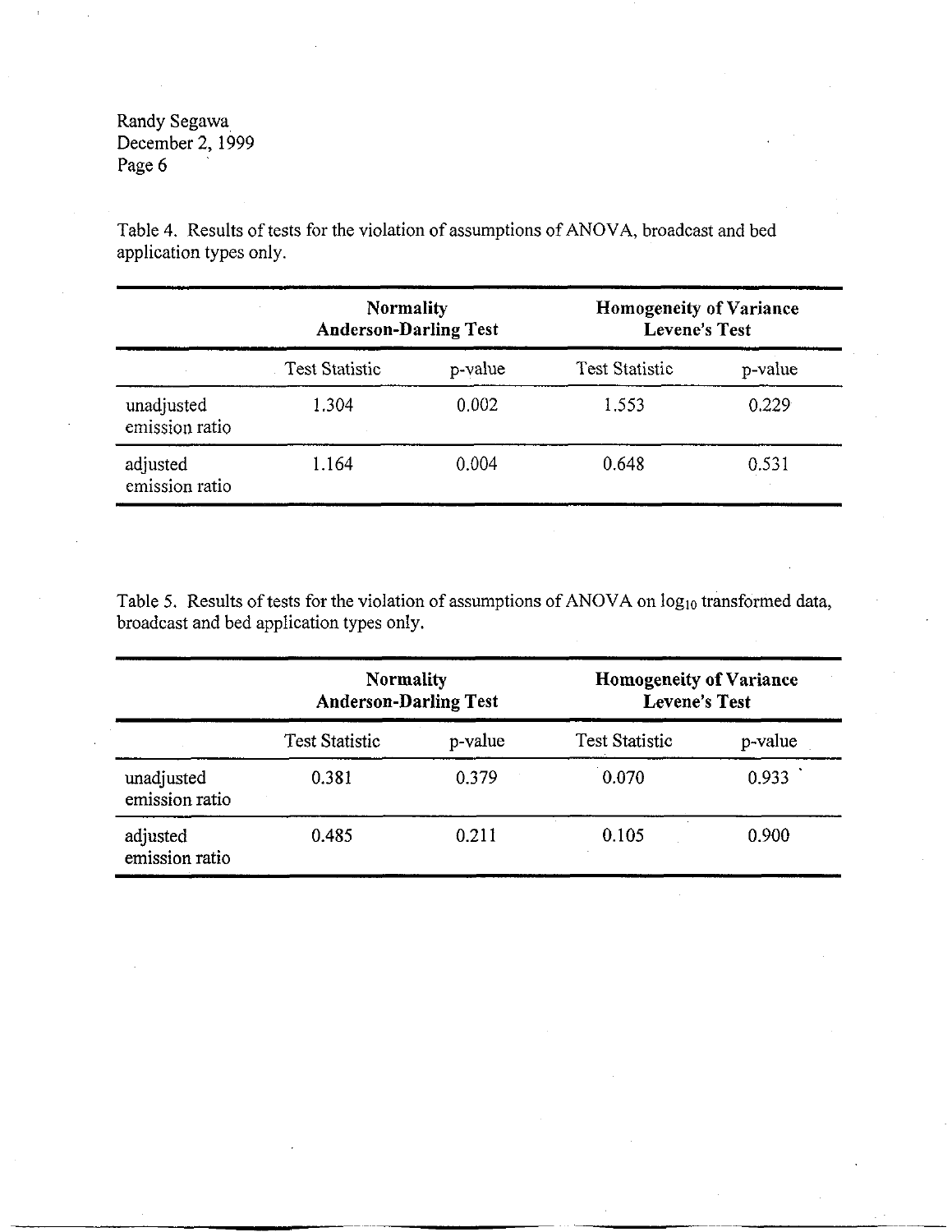Table 4. Results of tests for the violation of assumptions of ANOV A, broadcast and bed application types only.

|                              | Normality<br><b>Anderson-Darling Test</b> |         | Homogeneity of Variance<br><b>Levene's Test</b> |         |  |
|------------------------------|-------------------------------------------|---------|-------------------------------------------------|---------|--|
|                              | <b>Test Statistic</b>                     | p-value | <b>Test Statistic</b>                           | p-value |  |
| unadjusted<br>emission ratio | 1.304                                     | 0.002   | 1.553                                           | 0.229   |  |
| adjusted<br>emission ratio   | 1.164                                     | 0.004   | 0.648                                           | 0.531   |  |

Table 5. Results of tests for the violation of assumptions of ANOVA on  $log_{10}$  transformed data, broadcast and bed application types only.

|                              | <b>Normality</b><br><b>Anderson-Darling Test</b> |         | <b>Homogeneity of Variance</b><br><b>Levene's Test</b> |         |
|------------------------------|--------------------------------------------------|---------|--------------------------------------------------------|---------|
|                              | <b>Test Statistic</b>                            | p-value | <b>Test Statistic</b>                                  | p-value |
| unadjusted<br>emission ratio | 0.381                                            | 0.379   | 0.070                                                  | 0.933   |
| adjusted<br>emission ratio   | 0.485                                            | 0.211   | 0.105                                                  | 0.900   |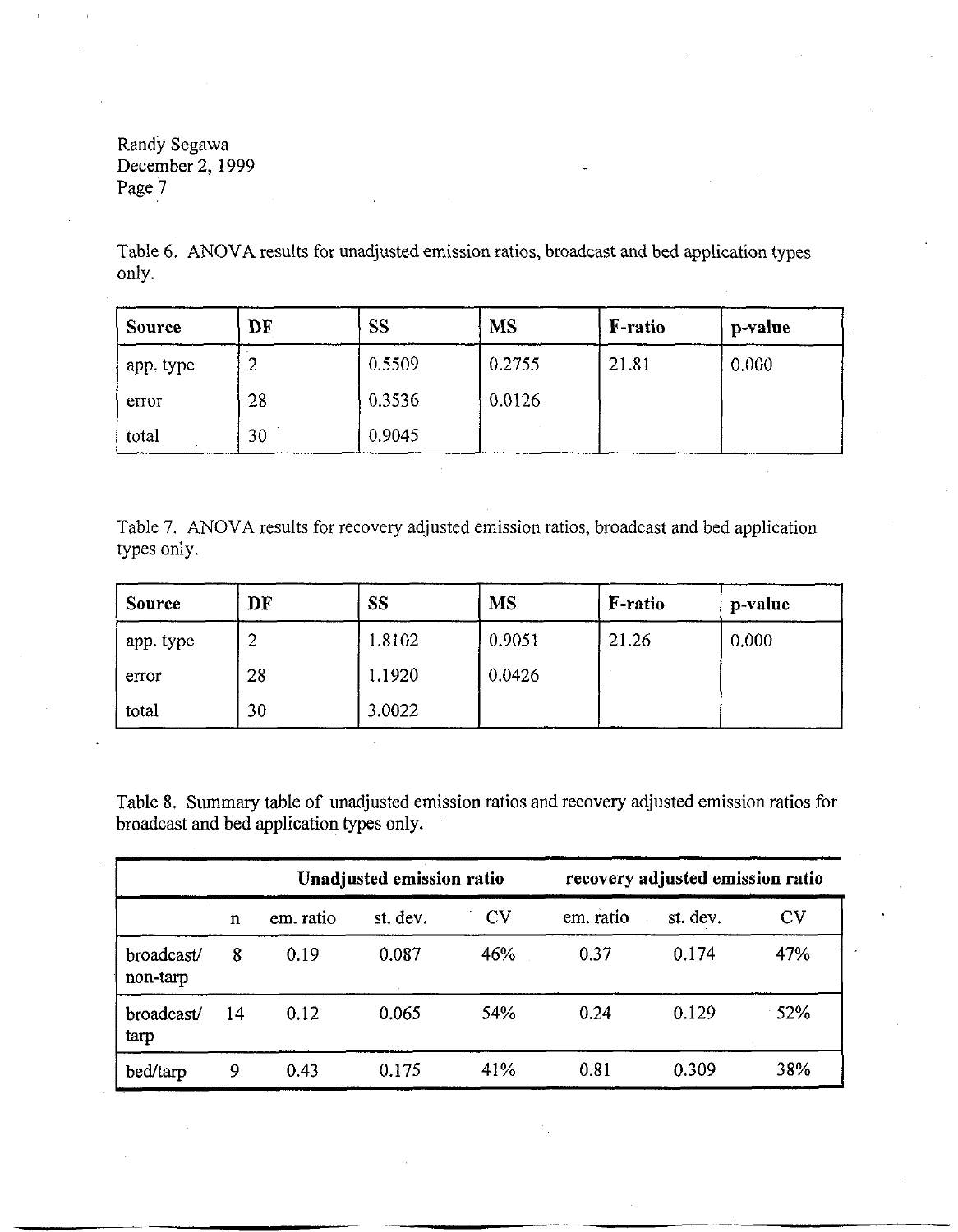Table 6. ANOVA results for unadjusted emission ratios, broadcast and bed application types only.

| <b>Source</b> | DF | <b>SS</b> | <b>MS</b> | <b>F-ratio</b> | p-value |
|---------------|----|-----------|-----------|----------------|---------|
| app. type     | ∼  | 0.5509    | 0.2755    | 21.81          | 0.000   |
| error         | 28 | 0.3536    | 0.0126    |                |         |
| total         | 30 | 0.9045    |           |                |         |

Table 7. ANOVA results for recovery adjusted emission ratios, broadcast and bed application types only.

| <b>Source</b> | DF | <b>SS</b> | <b>MS</b> | F-ratio | p-value |
|---------------|----|-----------|-----------|---------|---------|
| app. type     | ↩  | 1.8102    | 0.9051    | 21.26   | 0.000   |
| error         | 28 | 1.1920    | 0.0426    |         |         |
| total         | 30 | 3.0022    |           |         |         |

Table 8. Summary table of unadjusted emission ratios and recovery adjusted emission ratios for broadcast and bed application types only.

|                        |    |           | Unadjusted emission ratio |           | recovery adjusted emission ratio |          |           |
|------------------------|----|-----------|---------------------------|-----------|----------------------------------|----------|-----------|
|                        | n  | em. ratio | st. dev.                  | <b>CV</b> | em. ratio                        | st. dev. | <b>CV</b> |
| broadcast/<br>non-tarp | 8  | 0.19      | 0.087                     | 46%       | 0.37                             | 0.174    | 47%       |
| broadcast/<br>tarp     | 14 | 0.12      | 0.065                     | 54%       | 0.24                             | 0.129    | 52%       |
| bed/tarp               | 9  | 0.43      | 0.175                     | 41%       | 0.81                             | 0.309    | 38%       |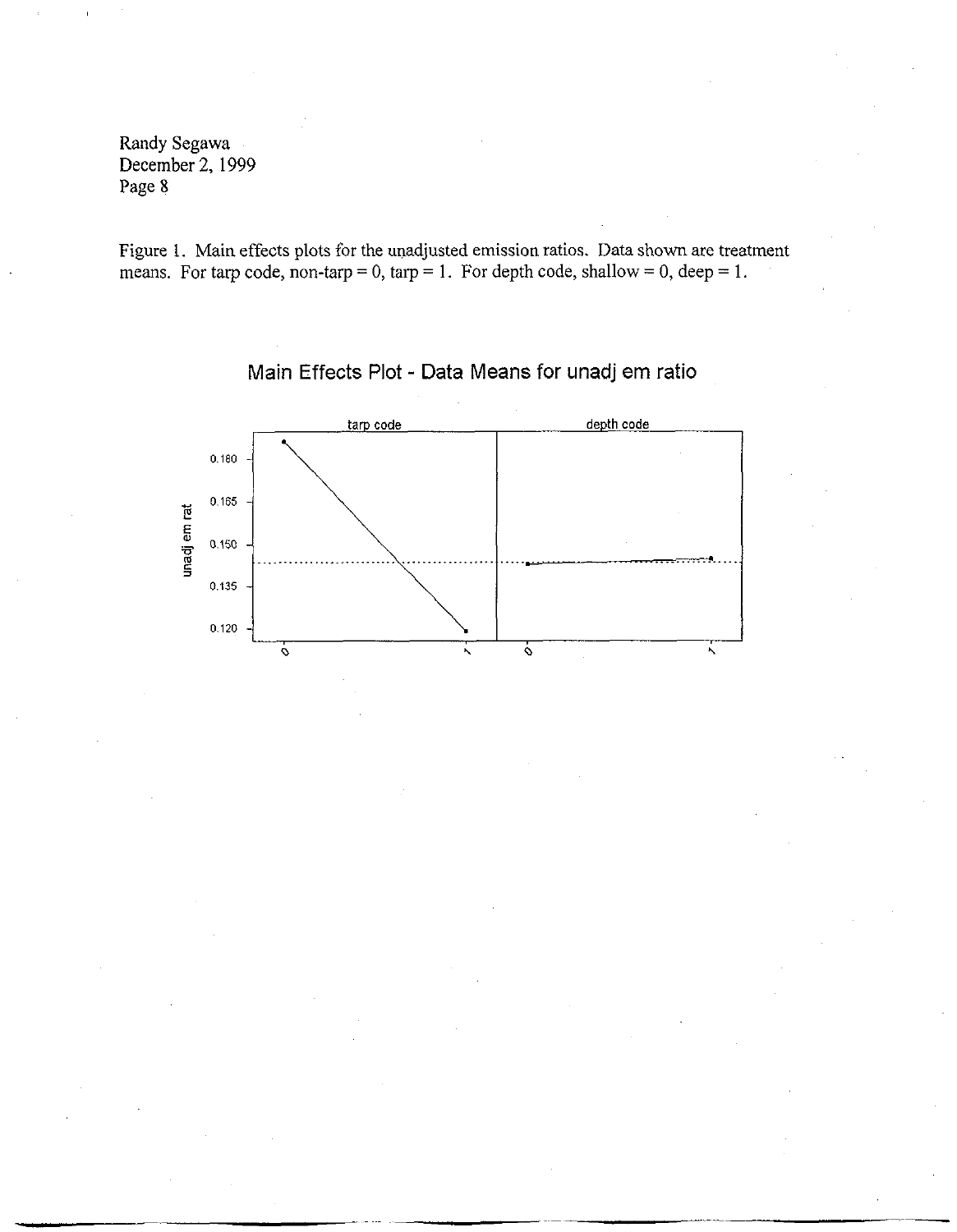Figure 1. Main effects plots for the unadjusted emission ratios. Data shown are treatment means. For tarp code, non-tarp = 0, tarp = 1. For depth code, shallow = 0, deep = 1.



**Main Effects Plot - Data Means for unadj em ratio**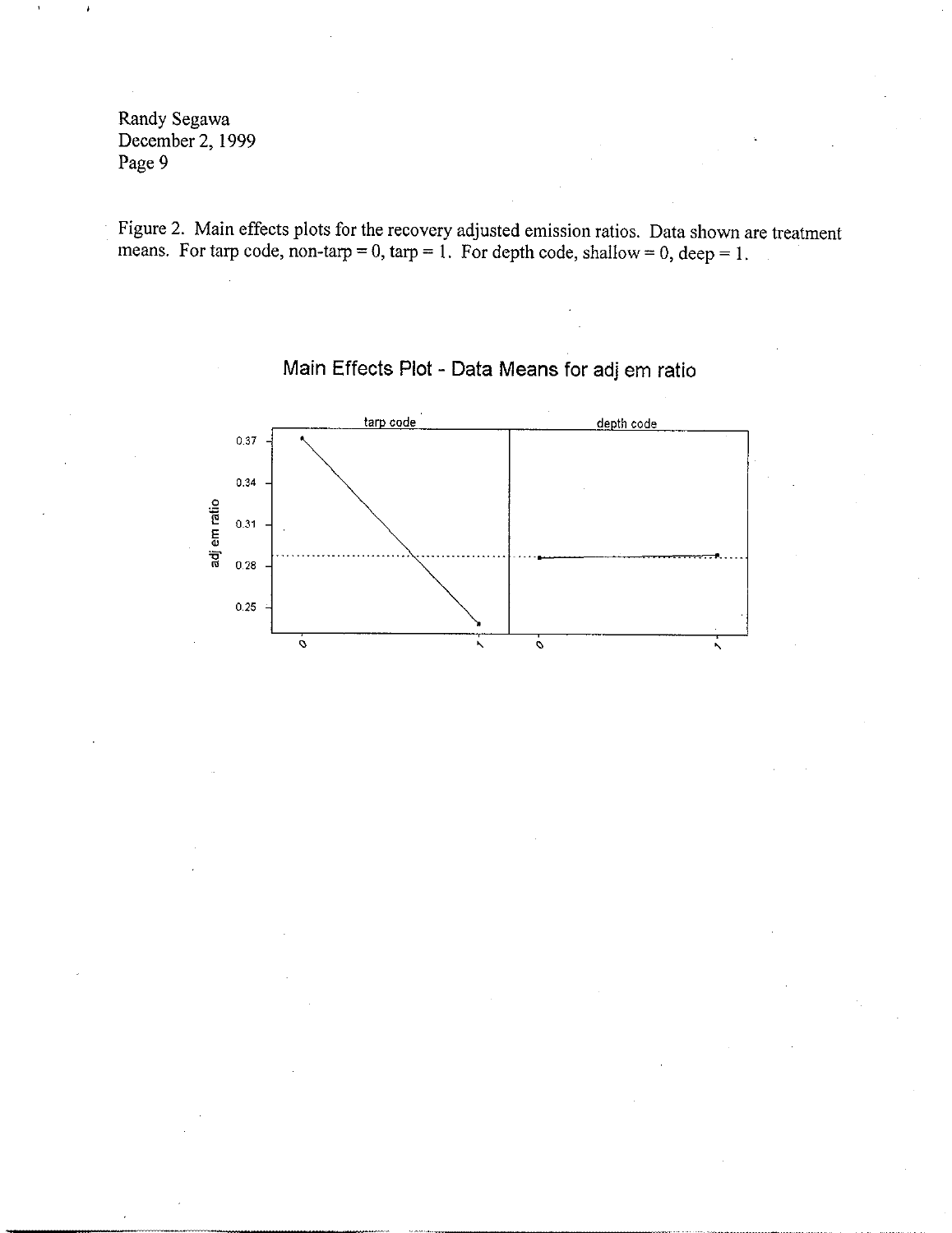Figure 2. Main effects plots for the recovery adjusted emission ratios. Data shown are treatment means. For tarp code, non-tarp = 0, tarp = 1. For depth code, shallow = 0, deep = 1.



# **Main Effects Plot - Data Means for** adj em **ratio**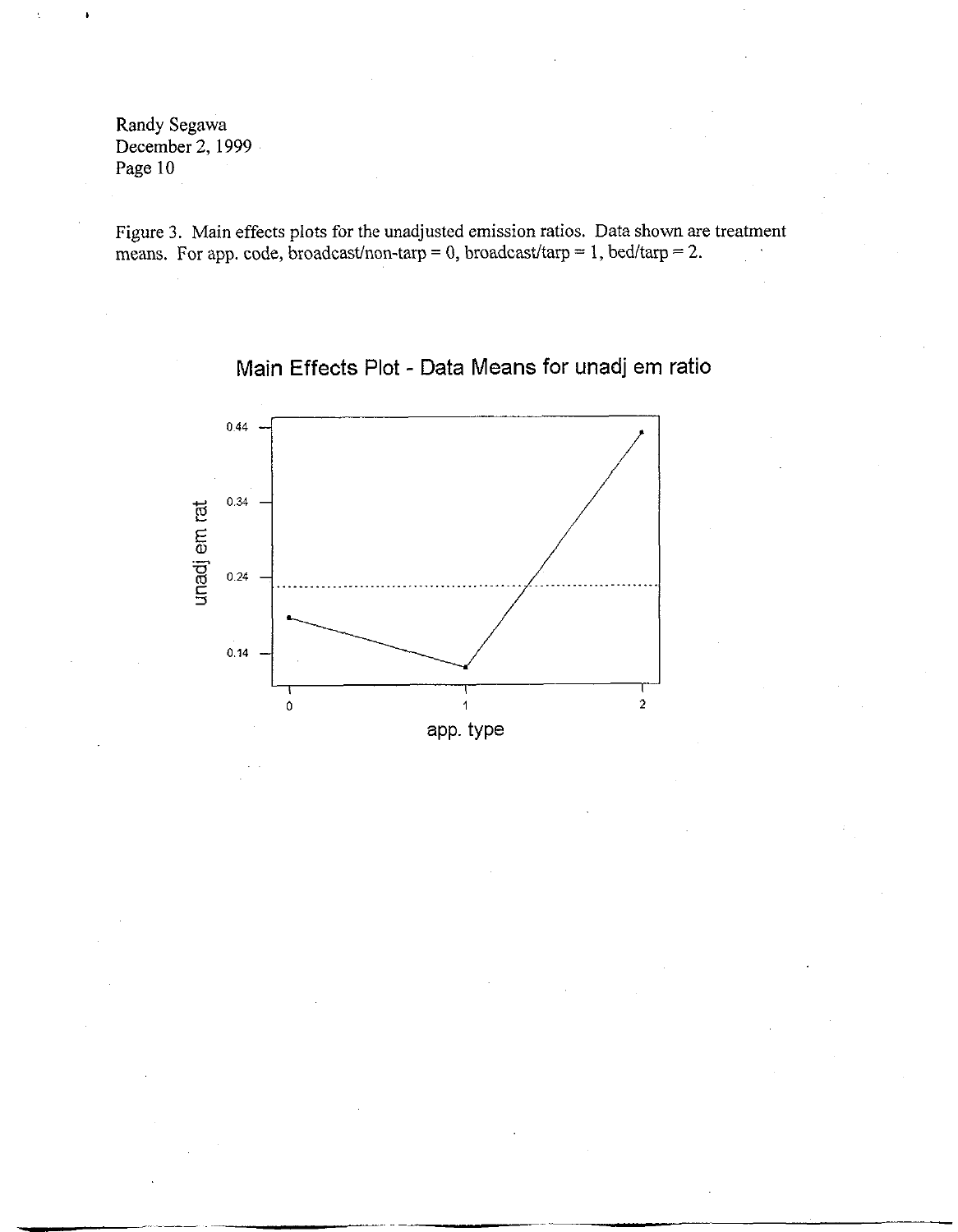Figure 3. Main effects plots for the unadjusted emission ratios. Data shown are treatment means. For app. code, broadcast/non-tarp = 0, broadcast/tarp = 1, bed/tarp = 2.

## **Main Effects Plot - Data Means for unadj em ratio**

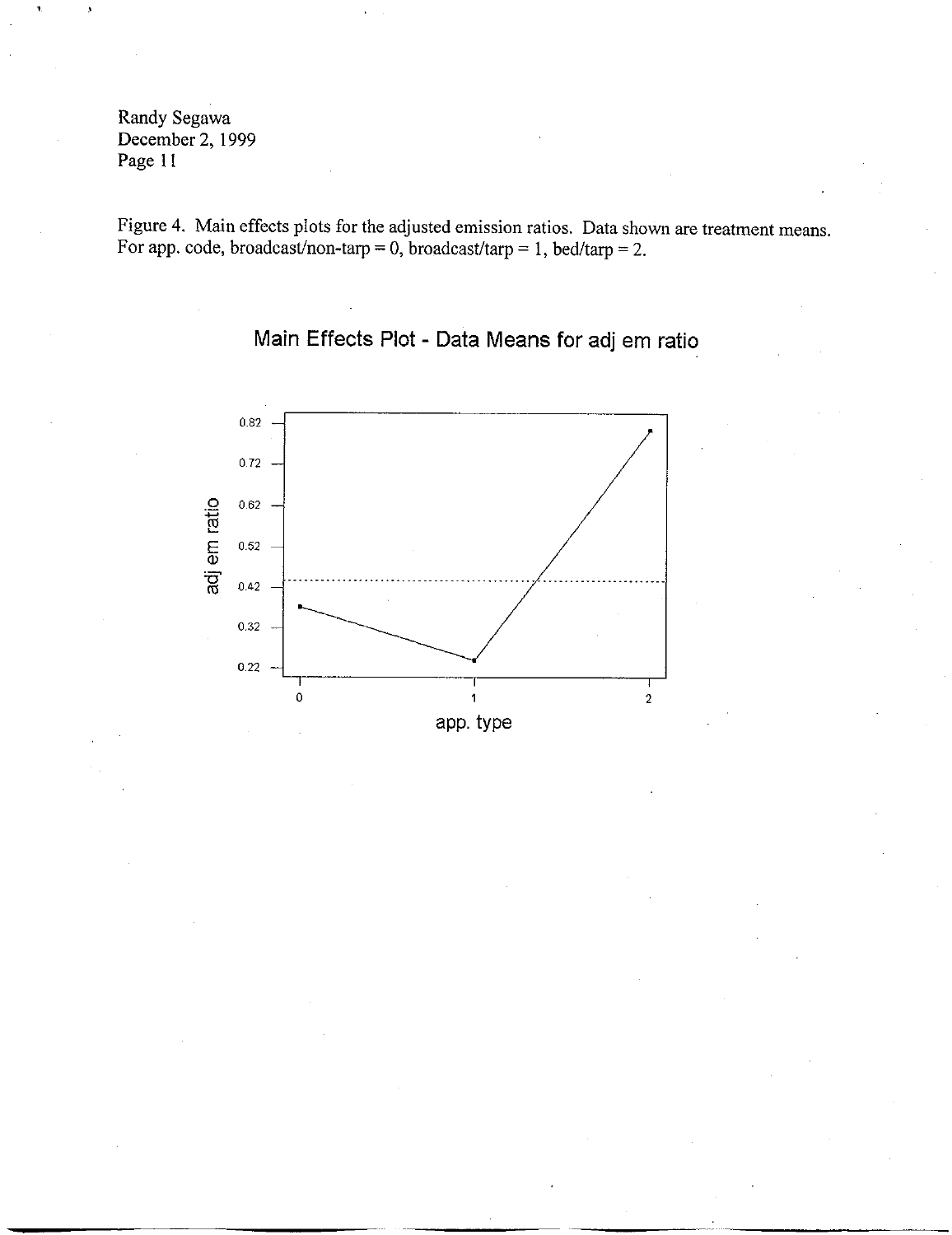Figure **4.** Maiu effects plots for the adjusted emission ratios. Data shown are treatment means. For app. code, broadcast/non-tarp = 0, broadcast/tarp = 1, bed/tarp = 2.

**Main Effects Plot - Data Means for adj em ratio** 

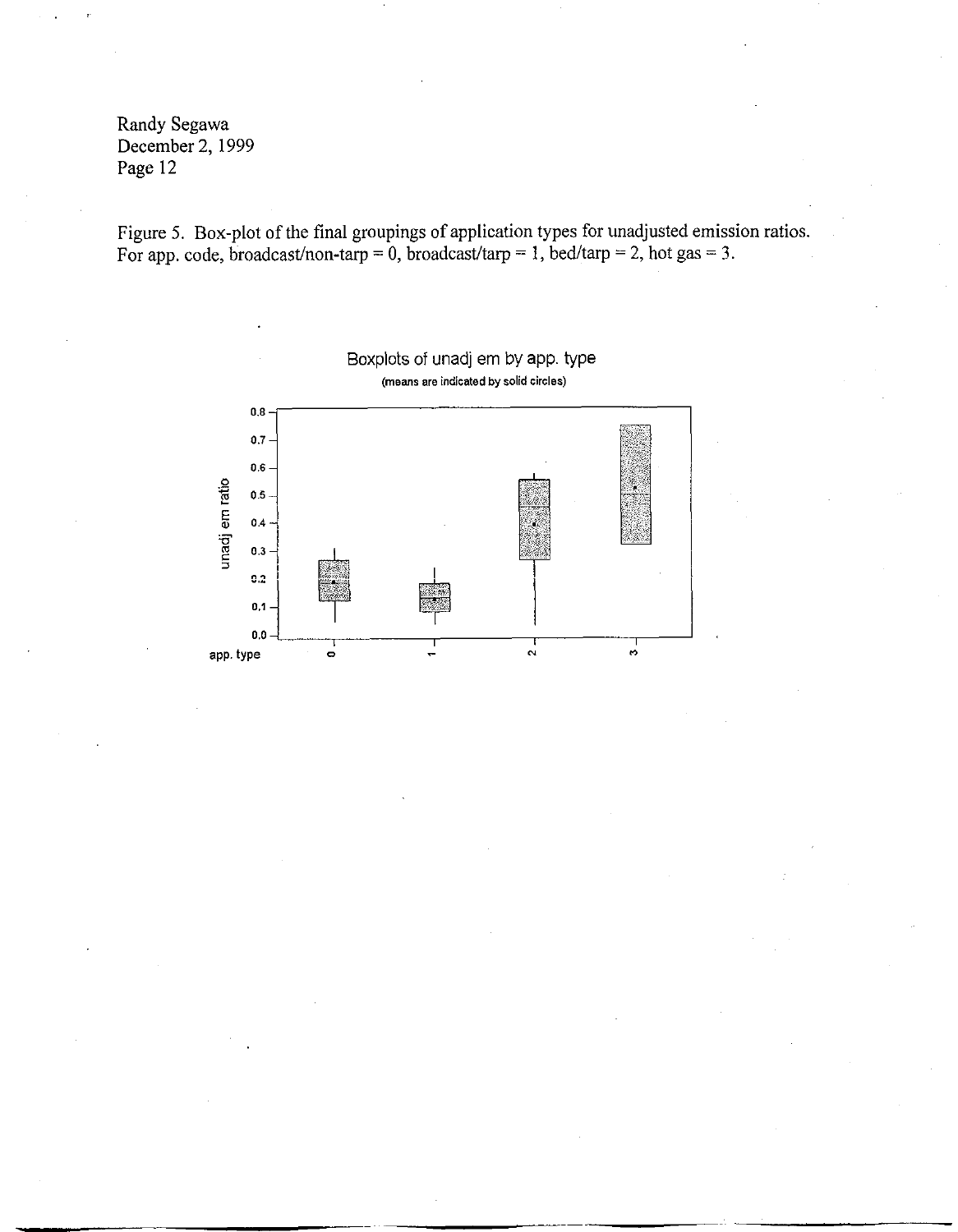Figure 5. Box-plot of the final groupings of application types for unadjusted emission ratios. For app. code, broadcast/non-tarp = 0, broadcast/tarp = 1, bed/tarp = 2, hot gas = 3.